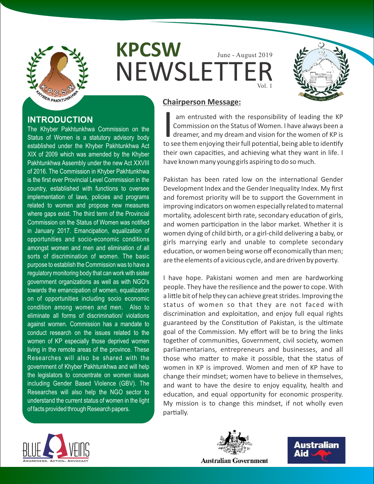

**INTRODUCTION**

The Khyber Pakhtunkhwa Commission on the Status of Women is a statutory advisory body established under the Khyber Pakhtunkhwa Act XIX of 2009 which was amended by the Khyber Pakhtunkhwa Assembly under the new Act XXVIII of 2016. The Commission in Khyber Pakhtunkhwa is the first ever Provincial Level Commission in the country, established with functions to oversee implementation of laws, policies and programs related to women and propose new measures where gaps exist. The third term of the Provincial Commission on the Status of Women was notified in January 2017. Emancipation, equalization of opportunities and socio-economic conditions amongst women and men and elimination of all sorts of discrimination of women. The basic purpose to establish the Commission was to have a regulatory monitoring body that can work with sister government organizations as well as with NGO's towards the emancipation of women, equalization on of opportunities including socio economic condition among women and men. Also to eliminate all forms of discrimination/ violations against women. Commission has a mandate to conduct research on the issues related to the women of KP especially those deprived women living in the remote areas of the province. These Researches will also be shared with the government of Khyber Pakhtunkhwa and will help the legislators to concentrate on women issues including Gender Based Violence (GBV). The Researches will also help the NGO sector to understand the current status of women in the light

**KPCSW NEWSLETTE** June - August 2019 Vol. 1



# **Chairperson Message:**

am entrusted with the responsibility of leading the KP Commission on the Status of Women. I have always been a dreamer, and my dream and vision for the women of KP is to see them enjoying their full potential, being able to identify their own capacities, and achieving what they want in life. I have known many young girls aspiring to do so much.

Pakistan has been rated low on the international Gender Development Index and the Gender Inequality Index. My first and foremost priority will be to support the Government in improving indicators on women especially related to maternal mortality, adolescent birth rate, secondary education of girls, and women participation in the labor market. Whether it is women dying of child birth, or a girl-child delivering a baby, or girls marrying early and unable to complete secondary education, or women being worse off economically than men; are the elements of a vicious cycle, and are driven by poverty.

I have hope. Pakistani women and men are hardworking people. They have the resilience and the power to cope. With a little bit of help they can achieve great strides. Improving the status of women so that they are not faced with discrimination and exploitation, and enjoy full equal rights guaranteed by the Constitution of Pakistan, is the ultimate goal of the Commission. My effort will be to bring the links together of communities, Government, civil society, women parliamentarians, entrepreneurs and businesses, and all those who matter to make it possible, that the status of women in KP is improved. Women and men of KP have to change their mindset; women have to believe in themselves, and want to have the desire to enjoy equality, health and education, and equal opportunity for economic prosperity. My mission is to change this mindset, if not wholly even partially.



of facts provided through Research papers.



Australian Aid

**Australian Government**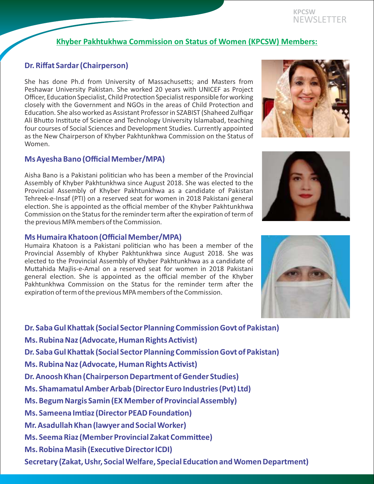#### **KPCSW** NEWSLETTER

# **Khyber Pakhtukhwa Commission on Status of Women (KPCSW) Members:**

# **Dr. Riffat Sardar (Chairperson)**

She has done Ph.d from University of Massachusetts; and Masters from Peshawar University Pakistan. She worked 20 years with UNICEF as Project Officer, Education Specialist, Child Protection Specialist responsible for working closely with the Government and NGOs in the areas of Child Protection and Education. She also worked as Assistant Professor in SZABIST (Shaheed Zulfiqar Ali Bhutto Institute of Science and Technology University Islamabad, teaching four courses of Social Sciences and Development Studies. Currently appointed as the New Chairperson of Khyber Pakhtunkhwa Commission on the Status of Women.

## **Ms Ayesha Bano (Official Member/MPA)**

Aisha Bano is a Pakistani polician who has been a member of the Provincial Assembly of Khyber Pakhtunkhwa since August 2018. She was elected to the Provincial Assembly of Khyber Pakhtunkhwa as a candidate of Pakistan Tehreek-e-Insaf (PTI) on a reserved seat for women in 2018 Pakistani general election. She is appointed as the official member of the Khyber Pakhtunkhwa Commission on the Status for the reminder term after the expiration of term of the previous MPA members of the Commission.

### **Ms Humaira Khatoon (Official Member/MPA)**

Humaira Khatoon is a Pakistani politician who has been a member of the Provincial Assembly of Khyber Pakhtunkhwa since August 2018. She was elected to the Provincial Assembly of Khyber Pakhtunkhwa as a candidate of Muttahida Majlis-e-Amal on a reserved seat for women in 2018 Pakistani general election. She is appointed as the official member of the Khyber Pakhtunkhwa Commission on the Status for the reminder term after the expiration of term of the previous MPA members of the Commission.

**Dr. Saba Gul Khattak (Social Sector Planning Commission Govt of Pakistan) Ms. Rubina Naz (Advocate, Human Rights Activist) Dr. Saba Gul Khattak (Social Sector Planning Commission Govt of Pakistan) Ms. Rubina Naz (Advocate, Human Rights Activist) Dr. Anoosh Khan (Chairperson Department of Gender Studies) Ms. Shamamatul Amber Arbab (Director Euro Industries (Pvt) Ltd) Ms. Begum Nargis Samin (EX Member of Provincial Assembly) Ms. Sameena Imtiaz (Director PEAD Foundation) Mr. Asadullah Khan (lawyer and Social Worker) Ms. Seema Riaz (Member Provincial Zakat Committee) Ms. Robina Masih (Executive Director ICDI) Secretary (Zakat, Ushr, Social Welfare, Special Education and Women Department)** 





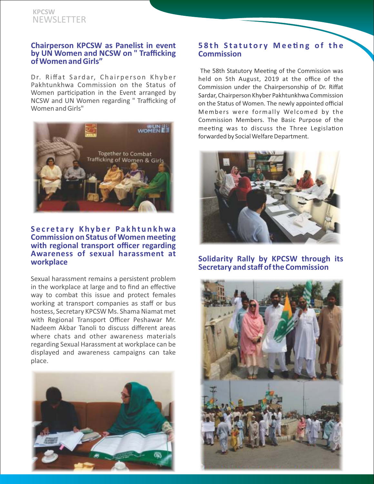### **KPCSW** NEWSLETTER

#### **Chairperson KPCSW as Panelist in event by UN Women and NCSW on " Trafficking of Women and Girls"**

Dr. Riffat Sardar, Chairperson Khyber Pakhtunkhwa Commission on the Status of Women participation in the Event arranged by NCSW and UN Women regarding " Trafficking of Women and Girls"



#### **S e c r e t a r y K hy b e r Pa k ht u n k hwa Commission on Status of Women meeting with regional transport officer regarding Awareness of sexual harassment at workplace**

Sexual harassment remains a persistent problem in the workplace at large and to find an effective way to combat this issue and protect females working at transport companies as staff or bus hostess, Secretary KPCSW Ms. Shama Niamat met with Regional Transport Officer Peshawar Mr. Nadeem Akbar Tanoli to discuss different areas where chats and other awareness materials regarding Sexual Harassment at workplace can be displayed and awareness campaigns can take place.



### **5 8 t h S t a t u t o r y M e e n g o f t h e Commission**

The 58th Statutory Meeting of the Commission was held on 5th August, 2019 at the office of the Commission under the Chairpersonship of Dr. Riffat Sardar, Chairperson Khyber Pakhtunkhwa Commission on the Status of Women. The newly appointed official Members were formally Welcomed by the Commission Members. The Basic Purpose of the meeting was to discuss the Three Legislation forwarded by Social Welfare Department.



### **Solidarity Rally by KPCSW through its Secretary and staff of the Commission**